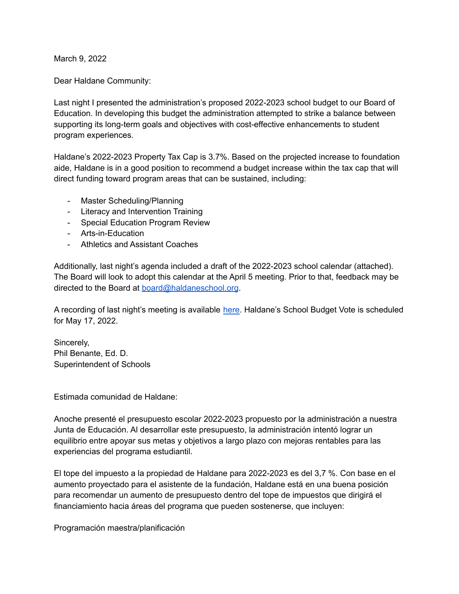March 9, 2022

Dear Haldane Community:

Last night I presented the administration's proposed 2022-2023 school budget to our Board of Education. In developing this budget the administration attempted to strike a balance between supporting its long-term goals and objectives with cost-effective enhancements to student program experiences.

Haldane's 2022-2023 Property Tax Cap is 3.7%. Based on the projected increase to foundation aide, Haldane is in a good position to recommend a budget increase within the tax cap that will direct funding toward program areas that can be sustained, including:

- Master Scheduling/Planning
- Literacy and Intervention Training
- Special Education Program Review
- Arts-in-Education
- Athletics and Assistant Coaches

Additionally, last night's agenda included a draft of the 2022-2023 school calendar (attached). The Board will look to adopt this calendar at the April 5 meeting. Prior to that, feedback may be directed to the Board at **[board@haldaneschool.org](mailto:board@haldaneschool.org)**.

A recording of last night's meeting is available [here.](https://go.boarddocs.com/ny/haldane/Board.nsf/) Haldane's School Budget Vote is scheduled for May 17, 2022.

Sincerely, Phil Benante, Ed. D. Superintendent of Schools

Estimada comunidad de Haldane:

Anoche presenté el presupuesto escolar 2022-2023 propuesto por la administración a nuestra Junta de Educación. Al desarrollar este presupuesto, la administración intentó lograr un equilibrio entre apoyar sus metas y objetivos a largo plazo con mejoras rentables para las experiencias del programa estudiantil.

El tope del impuesto a la propiedad de Haldane para 2022-2023 es del 3,7 %. Con base en el aumento proyectado para el asistente de la fundación, Haldane está en una buena posición para recomendar un aumento de presupuesto dentro del tope de impuestos que dirigirá el financiamiento hacia áreas del programa que pueden sostenerse, que incluyen:

Programación maestra/planificación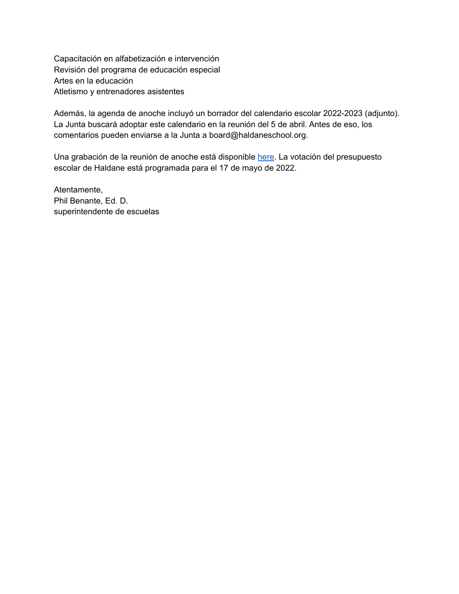Capacitación en alfabetización e intervención Revisión del programa de educación especial Artes en la educación Atletismo y entrenadores asistentes

Además, la agenda de anoche incluyó un borrador del calendario escolar 2022-2023 (adjunto). La Junta buscará adoptar este calendario en la reunión del 5 de abril. Antes de eso, los comentarios pueden enviarse a la Junta a board@haldaneschool.org.

Una grabación de la reunión de anoche está disponible [here.](https://go.boarddocs.com/ny/haldane/Board.nsf/) La votación del presupuesto escolar de Haldane está programada para el 17 de mayo de 2022.

Atentamente, Phil Benante, Ed. D. superintendente de escuelas